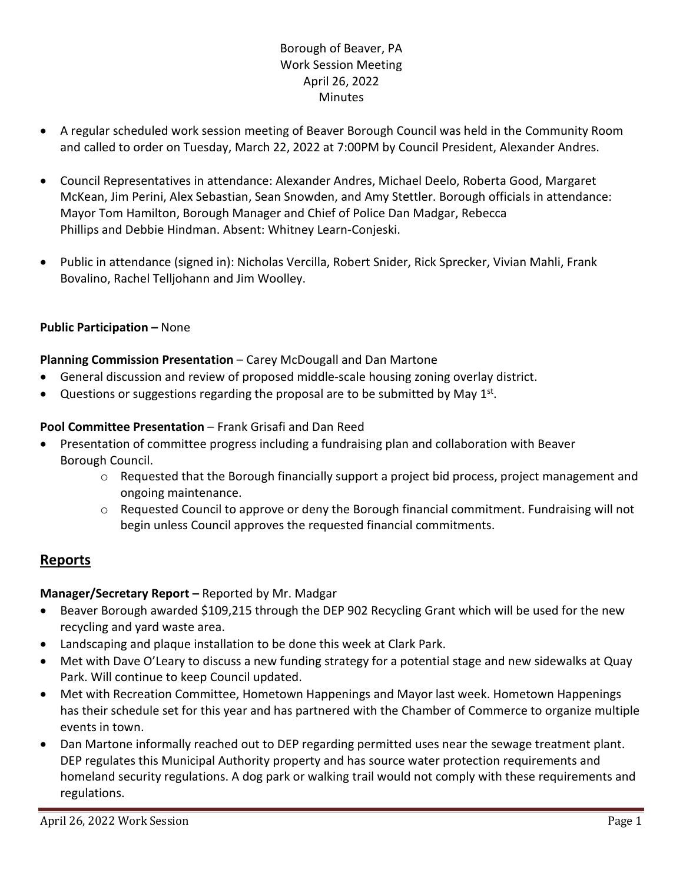# Borough of Beaver, PA Work Session Meeting April 26, 2022 Minutes

- A regular scheduled work session meeting of Beaver Borough Council was held in the Community Room and called to order on Tuesday, March 22, 2022 at 7:00PM by Council President, Alexander Andres.
- Council Representatives in attendance: Alexander Andres, Michael Deelo, Roberta Good, Margaret McKean, Jim Perini, Alex Sebastian, Sean Snowden, and Amy Stettler. Borough officials in attendance: Mayor Tom Hamilton, Borough Manager and Chief of Police Dan Madgar, Rebecca Phillips and Debbie Hindman. Absent: Whitney Learn-Conjeski.
- Public in attendance (signed in): Nicholas Vercilla, Robert Snider, Rick Sprecker, Vivian Mahli, Frank Bovalino, Rachel Telljohann and Jim Woolley.

# **Public Participation –** None

### **Planning Commission Presentation** – Carey McDougall and Dan Martone

- General discussion and review of proposed middle-scale housing zoning overlay district.
- Questions or suggestions regarding the proposal are to be submitted by May  $1^{st}$ .

### **Pool Committee Presentation** – Frank Grisafi and Dan Reed

- Presentation of committee progress including a fundraising plan and collaboration with Beaver Borough Council.
	- $\circ$  Requested that the Borough financially support a project bid process, project management and ongoing maintenance.
	- o Requested Council to approve or deny the Borough financial commitment. Fundraising will not begin unless Council approves the requested financial commitments.

# **Reports**

### **Manager/Secretary Report –** Reported by Mr. Madgar

- Beaver Borough awarded \$109,215 through the DEP 902 Recycling Grant which will be used for the new recycling and yard waste area.
- Landscaping and plaque installation to be done this week at Clark Park.
- Met with Dave O'Leary to discuss a new funding strategy for a potential stage and new sidewalks at Quay Park. Will continue to keep Council updated.
- Met with Recreation Committee, Hometown Happenings and Mayor last week. Hometown Happenings has their schedule set for this year and has partnered with the Chamber of Commerce to organize multiple events in town.
- Dan Martone informally reached out to DEP regarding permitted uses near the sewage treatment plant. DEP regulates this Municipal Authority property and has source water protection requirements and homeland security regulations. A dog park or walking trail would not comply with these requirements and regulations.